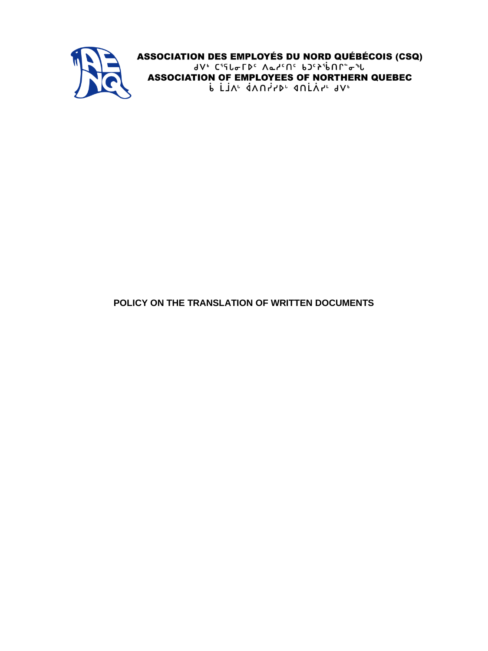

# **POLICY ON THE TRANSLATION OF WRITTEN DOCUMENTS**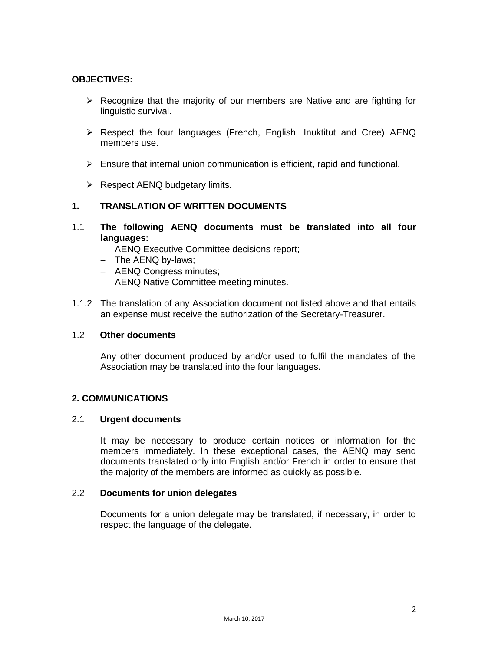### **OBJECTIVES:**

- $\triangleright$  Recognize that the majority of our members are Native and are fighting for linguistic survival.
- $\triangleright$  Respect the four languages (French, English, Inuktitut and Cree) AENQ members use.
- $\triangleright$  Ensure that internal union communication is efficient, rapid and functional.
- $\triangleright$  Respect AENQ budgetary limits.

### **1. TRANSLATION OF WRITTEN DOCUMENTS**

- 1.1 **The following AENQ documents must be translated into all four languages:**
	- AENQ Executive Committee decisions report;
	- The AENQ by-laws;
	- **AENQ Congress minutes;**
	- AENQ Native Committee meeting minutes.
- 1.1.2 The translation of any Association document not listed above and that entails an expense must receive the authorization of the Secretary-Treasurer.

#### 1.2 **Other documents**

Any other document produced by and/or used to fulfil the mandates of the Association may be translated into the four languages.

#### **2. COMMUNICATIONS**

### 2.1 **Urgent documents**

It may be necessary to produce certain notices or information for the members immediately. In these exceptional cases, the AENQ may send documents translated only into English and/or French in order to ensure that the majority of the members are informed as quickly as possible.

#### 2.2 **Documents for union delegates**

Documents for a union delegate may be translated, if necessary, in order to respect the language of the delegate.